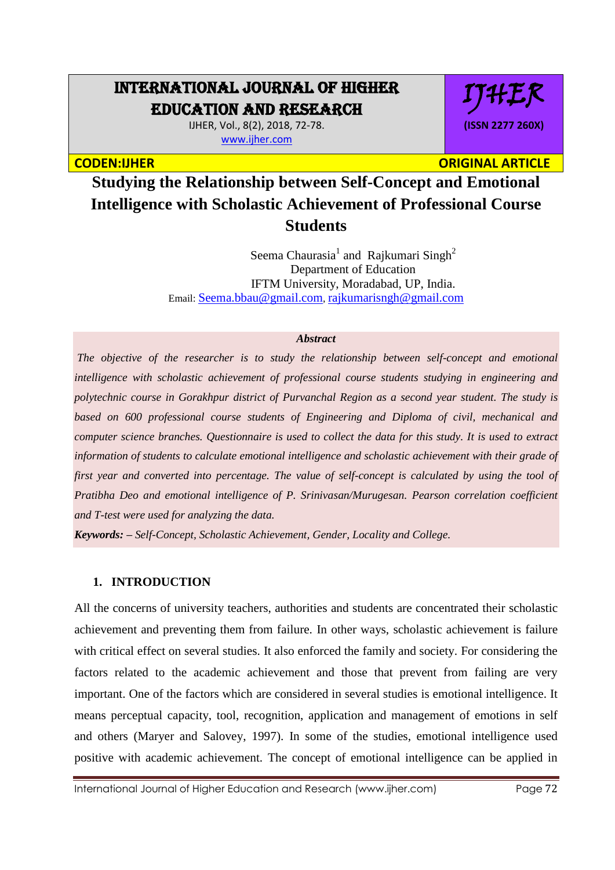# INTERNATIONAL JOURNAL OF HIGHER EDUCATION AND RESEARCH

IJHER, Vol., 8(2), 2018, 72-78. [www.ijher.com](http://www.ijher.com/)

IJHER **(ISSN 2277 260X)**

**CODEN:IJHER ORIGINAL ARTICLE** 

**Studying the Relationship between Self-Concept and Emotional Intelligence with Scholastic Achievement of Professional Course Students** 

> Seema Chaurasia<sup>1</sup> and Rajkumari Singh<sup>2</sup> Department of Education IFTM University, Moradabad, UP, India. Email: [Seema.bbau@gmail.com](mailto:Seema.bbau@gmail.com), rajkumarisngh@gmail.com

#### *Abstract*

*The objective of the researcher is to study the relationship between self-concept and emotional intelligence with scholastic achievement of professional course students studying in engineering and polytechnic course in Gorakhpur district of Purvanchal Region as a second year student. The study is based on 600 professional course students of Engineering and Diploma of civil, mechanical and computer science branches. Questionnaire is used to collect the data for this study. It is used to extract information of students to calculate emotional intelligence and scholastic achievement with their grade of first year and converted into percentage. The value of self-concept is calculated by using the tool of Pratibha Deo and emotional intelligence of P. Srinivasan/Murugesan. Pearson correlation coefficient and T-test were used for analyzing the data.*

*Keywords: – Self-Concept, Scholastic Achievement, Gender, Locality and College.*

# **1. INTRODUCTION**

All the concerns of university teachers, authorities and students are concentrated their scholastic achievement and preventing them from failure. In other ways, scholastic achievement is failure with critical effect on several studies. It also enforced the family and society. For considering the factors related to the academic achievement and those that prevent from failing are very important. One of the factors which are considered in several studies is emotional intelligence. It means perceptual capacity, tool, recognition, application and management of emotions in self and others (Maryer and Salovey, 1997). In some of the studies, emotional intelligence used positive with academic achievement. The concept of emotional intelligence can be applied in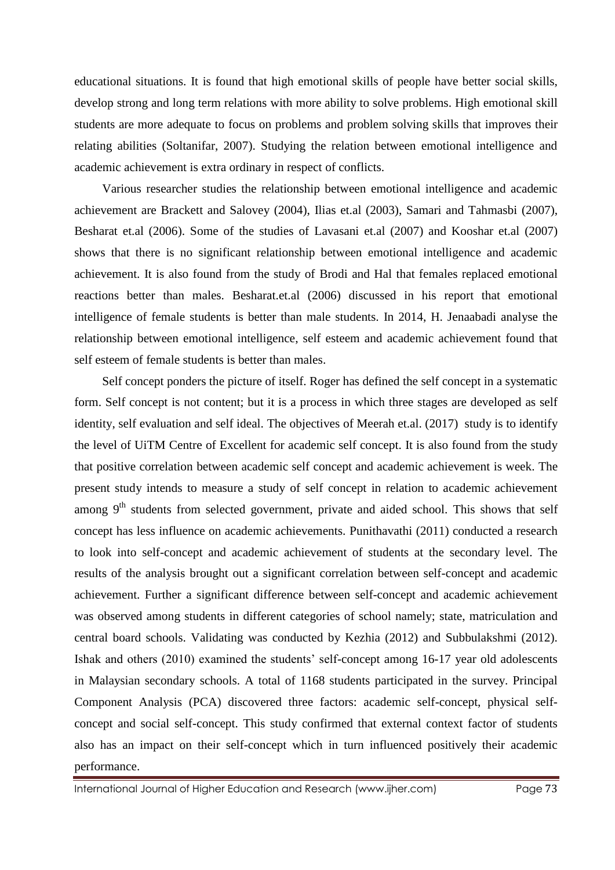educational situations. It is found that high emotional skills of people have better social skills, develop strong and long term relations with more ability to solve problems. High emotional skill students are more adequate to focus on problems and problem solving skills that improves their relating abilities (Soltanifar, 2007). Studying the relation between emotional intelligence and academic achievement is extra ordinary in respect of conflicts.

Various researcher studies the relationship between emotional intelligence and academic achievement are Brackett and Salovey (2004), Ilias et.al (2003), Samari and Tahmasbi (2007), Besharat et.al (2006). Some of the studies of Lavasani et.al (2007) and Kooshar et.al (2007) shows that there is no significant relationship between emotional intelligence and academic achievement. It is also found from the study of Brodi and Hal that females replaced emotional reactions better than males. Besharat.et.al (2006) discussed in his report that emotional intelligence of female students is better than male students. In 2014, H. Jenaabadi analyse the relationship between emotional intelligence, self esteem and academic achievement found that self esteem of female students is better than males.

Self concept ponders the picture of itself. Roger has defined the self concept in a systematic form. Self concept is not content; but it is a process in which three stages are developed as self identity, self evaluation and self ideal. The objectives of Meerah et.al. (2017) study is to identify the level of UiTM Centre of Excellent for academic self concept. It is also found from the study that positive correlation between academic self concept and academic achievement is week. The present study intends to measure a study of self concept in relation to academic achievement among  $9<sup>th</sup>$  students from selected government, private and aided school. This shows that self concept has less influence on academic achievements. Punithavathi (2011) conducted a research to look into self-concept and academic achievement of students at the secondary level. The results of the analysis brought out a significant correlation between self-concept and academic achievement. Further a significant difference between self-concept and academic achievement was observed among students in different categories of school namely; state, matriculation and central board schools. Validating was conducted by Kezhia (2012) and Subbulakshmi (2012). Ishak and others (2010) examined the students' self-concept among 16-17 year old adolescents in Malaysian secondary schools. A total of 1168 students participated in the survey. Principal Component Analysis (PCA) discovered three factors: academic self-concept, physical selfconcept and social self-concept. This study confirmed that external context factor of students also has an impact on their self-concept which in turn influenced positively their academic performance.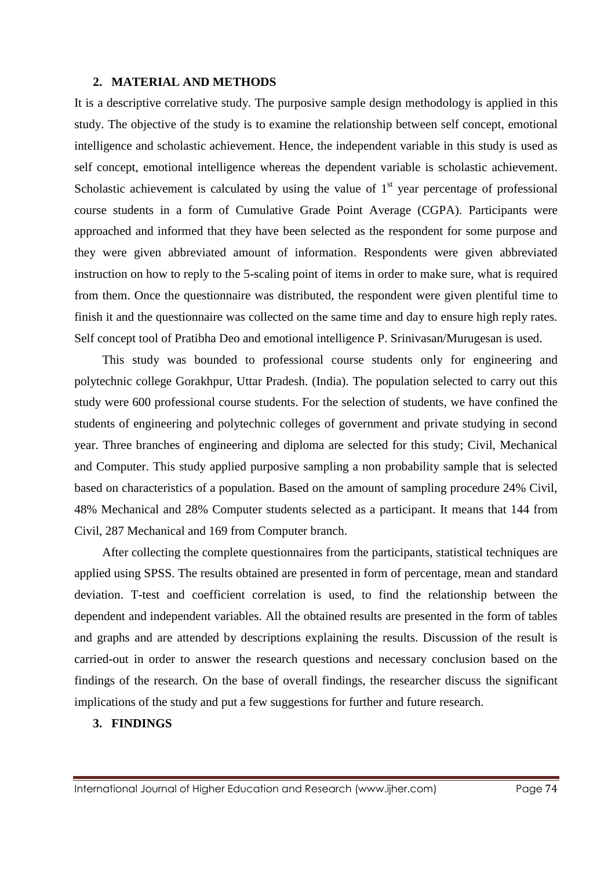#### **2. MATERIAL AND METHODS**

It is a descriptive correlative study. The purposive sample design methodology is applied in this study. The objective of the study is to examine the relationship between self concept, emotional intelligence and scholastic achievement. Hence, the independent variable in this study is used as self concept, emotional intelligence whereas the dependent variable is scholastic achievement. Scholastic achievement is calculated by using the value of  $1<sup>st</sup>$  year percentage of professional course students in a form of Cumulative Grade Point Average (CGPA). Participants were approached and informed that they have been selected as the respondent for some purpose and they were given abbreviated amount of information. Respondents were given abbreviated instruction on how to reply to the 5-scaling point of items in order to make sure, what is required from them. Once the questionnaire was distributed, the respondent were given plentiful time to finish it and the questionnaire was collected on the same time and day to ensure high reply rates. Self concept tool of Pratibha Deo and emotional intelligence P. Srinivasan/Murugesan is used.

This study was bounded to professional course students only for engineering and polytechnic college Gorakhpur, Uttar Pradesh. (India). The population selected to carry out this study were 600 professional course students. For the selection of students, we have confined the students of engineering and polytechnic colleges of government and private studying in second year. Three branches of engineering and diploma are selected for this study; Civil, Mechanical and Computer. This study applied purposive sampling a non probability sample that is selected based on characteristics of a population. Based on the amount of sampling procedure 24% Civil, 48% Mechanical and 28% Computer students selected as a participant. It means that 144 from Civil, 287 Mechanical and 169 from Computer branch.

After collecting the complete questionnaires from the participants, statistical techniques are applied using SPSS. The results obtained are presented in form of percentage, mean and standard deviation. T-test and coefficient correlation is used, to find the relationship between the dependent and independent variables. All the obtained results are presented in the form of tables and graphs and are attended by descriptions explaining the results. Discussion of the result is carried-out in order to answer the research questions and necessary conclusion based on the findings of the research. On the base of overall findings, the researcher discuss the significant implications of the study and put a few suggestions for further and future research.

### **3. FINDINGS**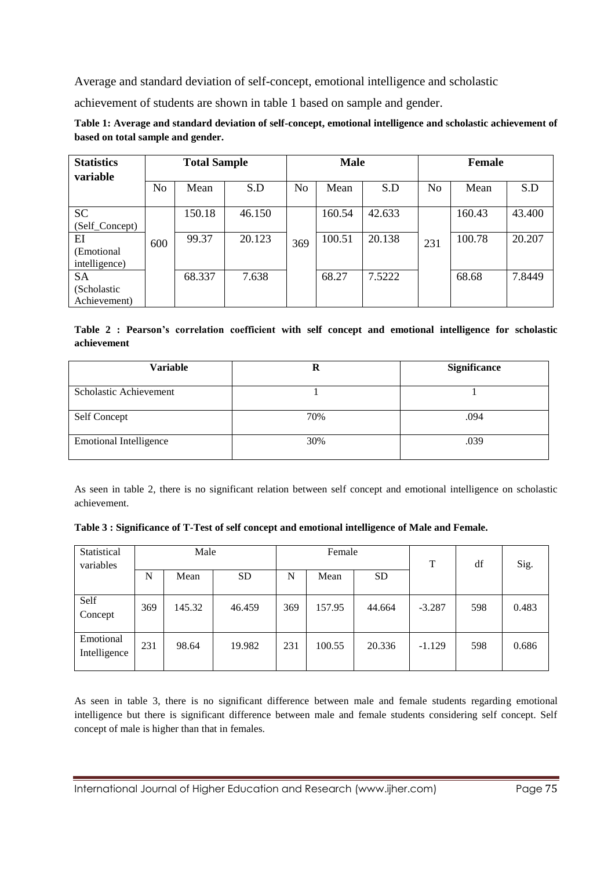Average and standard deviation of self-concept, emotional intelligence and scholastic

achievement of students are shown in table 1 based on sample and gender.

| Table 1: Average and standard deviation of self-concept, emotional intelligence and scholastic achievement of |
|---------------------------------------------------------------------------------------------------------------|
| based on total sample and gender.                                                                             |

| <b>Statistics</b><br>variable | <b>Total Sample</b> |        |        | <b>Male</b> |        |        | Female         |        |        |
|-------------------------------|---------------------|--------|--------|-------------|--------|--------|----------------|--------|--------|
|                               | N <sub>o</sub>      | Mean   | S.D    | No          | Mean   | S.D    | N <sub>o</sub> | Mean   | S.D    |
| <b>SC</b>                     |                     | 150.18 | 46.150 |             | 160.54 | 42.633 |                | 160.43 | 43.400 |
| (Self_Concept)                |                     |        |        |             |        |        |                |        |        |
| EI                            | 600                 | 99.37  | 20.123 | 369         | 100.51 | 20.138 | 231            | 100.78 | 20.207 |
| (Emotional)                   |                     |        |        |             |        |        |                |        |        |
| intelligence)                 |                     |        |        |             |        |        |                |        |        |
| <b>SA</b>                     |                     | 68.337 | 7.638  |             | 68.27  | 7.5222 |                | 68.68  | 7.8449 |
| (Scholastic                   |                     |        |        |             |        |        |                |        |        |
| Achievement)                  |                     |        |        |             |        |        |                |        |        |

**Table 2 : Pearson's correlation coefficient with self concept and emotional intelligence for scholastic achievement**

| Variable                      | R   | <b>Significance</b> |  |  |
|-------------------------------|-----|---------------------|--|--|
| Scholastic Achievement        |     |                     |  |  |
| Self Concept                  | 70% | .094                |  |  |
| <b>Emotional Intelligence</b> | 30% | .039                |  |  |

As seen in table 2, there is no significant relation between self concept and emotional intelligence on scholastic achievement.

**Table 3 : Significance of T-Test of self concept and emotional intelligence of Male and Female.**

| Statistical<br>variables  | Male |        |           |     | Female |           | T        | df  | Sig.  |
|---------------------------|------|--------|-----------|-----|--------|-----------|----------|-----|-------|
|                           | N    | Mean   | <b>SD</b> | N   | Mean   | <b>SD</b> |          |     |       |
| Self<br>Concept           | 369  | 145.32 | 46.459    | 369 | 157.95 | 44.664    | $-3.287$ | 598 | 0.483 |
| Emotional<br>Intelligence | 231  | 98.64  | 19.982    | 231 | 100.55 | 20.336    | $-1.129$ | 598 | 0.686 |

As seen in table 3, there is no significant difference between male and female students regarding emotional intelligence but there is significant difference between male and female students considering self concept. Self concept of male is higher than that in females.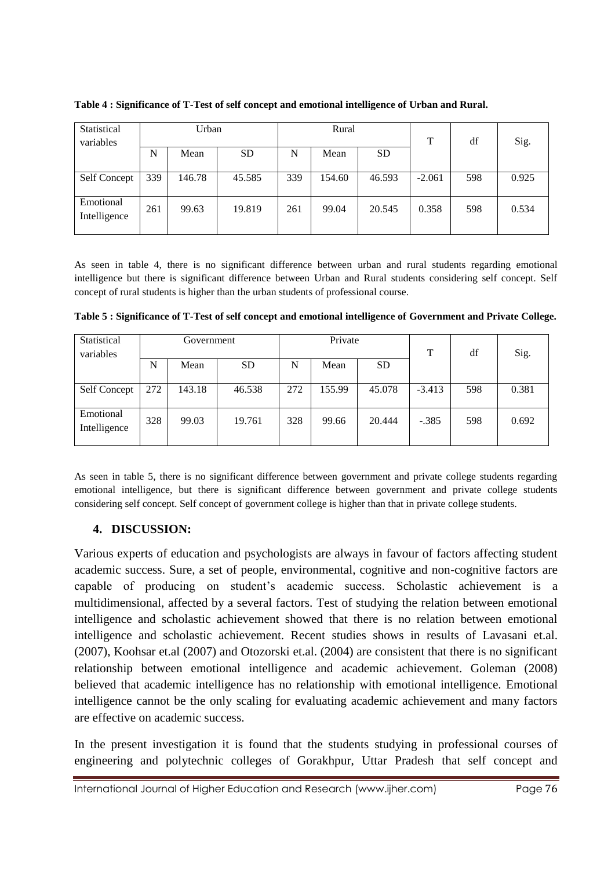| Statistical  | Urban |        |        | Rural |        |           |          |     |       |
|--------------|-------|--------|--------|-------|--------|-----------|----------|-----|-------|
| variables    |       |        |        |       |        |           | T        | df  | Sig.  |
|              | N     | Mean   | SD     | N     | Mean   | <b>SD</b> |          |     |       |
|              |       |        |        |       |        |           |          |     |       |
| Self Concept | 339   | 146.78 | 45.585 | 339   | 154.60 | 46.593    | $-2.061$ | 598 | 0.925 |
|              |       |        |        |       |        |           |          |     |       |
| Emotional    | 261   | 99.63  | 19.819 | 261   | 99.04  | 20.545    | 0.358    | 598 | 0.534 |
| Intelligence |       |        |        |       |        |           |          |     |       |
|              |       |        |        |       |        |           |          |     |       |

**Table 4 : Significance of T-Test of self concept and emotional intelligence of Urban and Rural.**

As seen in table 4, there is no significant difference between urban and rural students regarding emotional intelligence but there is significant difference between Urban and Rural students considering self concept. Self concept of rural students is higher than the urban students of professional course.

| Statistical<br>variables  |     | Government |           |     | Private |           | T        | df  | Sig.  |
|---------------------------|-----|------------|-----------|-----|---------|-----------|----------|-----|-------|
|                           | N   | Mean       | <b>SD</b> | N   | Mean    | <b>SD</b> |          |     |       |
| Self Concept              | 272 | 143.18     | 46.538    | 272 | 155.99  | 45.078    | $-3.413$ | 598 | 0.381 |
| Emotional<br>Intelligence | 328 | 99.03      | 19.761    | 328 | 99.66   | 20.444    | $-.385$  | 598 | 0.692 |

**Table 5 : Significance of T-Test of self concept and emotional intelligence of Government and Private College.**

As seen in table 5, there is no significant difference between government and private college students regarding emotional intelligence, but there is significant difference between government and private college students considering self concept. Self concept of government college is higher than that in private college students.

# **4. DISCUSSION:**

Various experts of education and psychologists are always in favour of factors affecting student academic success. Sure, a set of people, environmental, cognitive and non-cognitive factors are capable of producing on student's academic success. Scholastic achievement is a multidimensional, affected by a several factors. Test of studying the relation between emotional intelligence and scholastic achievement showed that there is no relation between emotional intelligence and scholastic achievement. Recent studies shows in results of Lavasani et.al. (2007), Koohsar et.al (2007) and Otozorski et.al. (2004) are consistent that there is no significant relationship between emotional intelligence and academic achievement. Goleman (2008) believed that academic intelligence has no relationship with emotional intelligence. Emotional intelligence cannot be the only scaling for evaluating academic achievement and many factors are effective on academic success.

In the present investigation it is found that the students studying in professional courses of engineering and polytechnic colleges of Gorakhpur, Uttar Pradesh that self concept and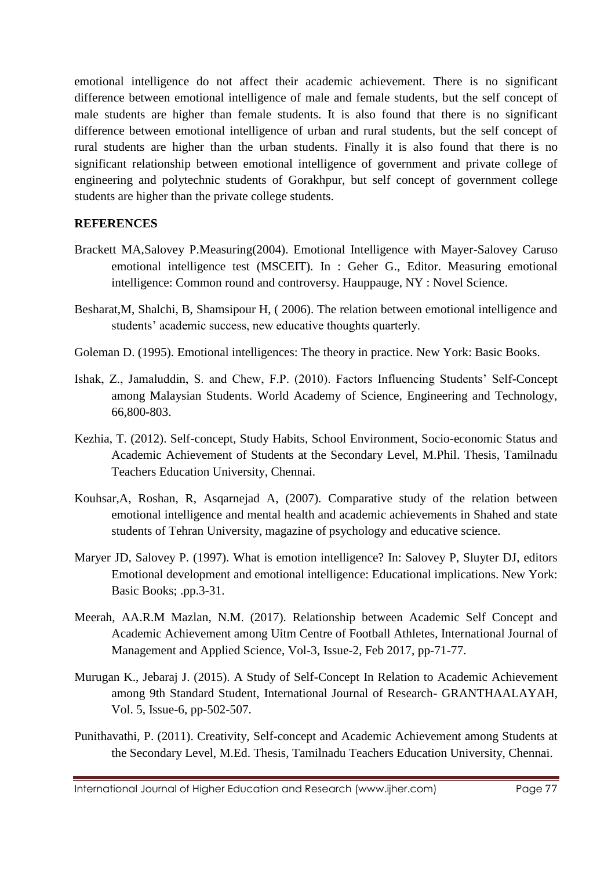emotional intelligence do not affect their academic achievement. There is no significant difference between emotional intelligence of male and female students, but the self concept of male students are higher than female students. It is also found that there is no significant difference between emotional intelligence of urban and rural students, but the self concept of rural students are higher than the urban students. Finally it is also found that there is no significant relationship between emotional intelligence of government and private college of engineering and polytechnic students of Gorakhpur, but self concept of government college students are higher than the private college students.

# **REFERENCES**

- Brackett MA,Salovey P.Measuring(2004). Emotional Intelligence with Mayer-Salovey Caruso emotional intelligence test (MSCEIT). In : Geher G., Editor. Measuring emotional intelligence: Common round and controversy. Hauppauge, NY : Novel Science.
- Besharat,M, Shalchi, B, Shamsipour H, ( 2006). The relation between emotional intelligence and students' academic success, new educative thoughts quarterly.
- Goleman D. (1995). Emotional intelligences: The theory in practice. New York: Basic Books.
- Ishak, Z., Jamaluddin, S. and Chew, F.P. (2010). Factors Influencing Students' Self-Concept among Malaysian Students. World Academy of Science, Engineering and Technology, 66,800-803.
- Kezhia, T. (2012). Self-concept, Study Habits, School Environment, Socio-economic Status and Academic Achievement of Students at the Secondary Level, M.Phil. Thesis, Tamilnadu Teachers Education University, Chennai.
- Kouhsar,A, Roshan, R, Asqarnejad A, (2007). Comparative study of the relation between emotional intelligence and mental health and academic achievements in Shahed and state students of Tehran University, magazine of psychology and educative science.
- Maryer JD, Salovey P. (1997). What is emotion intelligence? In: Salovey P, Sluyter DJ, editors Emotional development and emotional intelligence: Educational implications. New York: Basic Books; .pp.3-31.
- Meerah, AA.R.M Mazlan, N.M. (2017). Relationship between Academic Self Concept and Academic Achievement among Uitm Centre of Football Athletes, International Journal of Management and Applied Science, Vol-3, Issue-2, Feb 2017, pp-71-77.
- Murugan K., Jebaraj J. (2015). A Study of Self-Concept In Relation to Academic Achievement among 9th Standard Student, International Journal of Research- GRANTHAALAYAH, Vol. 5, Issue-6, pp-502-507.
- Punithavathi, P. (2011). Creativity, Self-concept and Academic Achievement among Students at the Secondary Level, M.Ed. Thesis, Tamilnadu Teachers Education University, Chennai.

International Journal of Higher Education and Research (www.ijher.com) Page 77